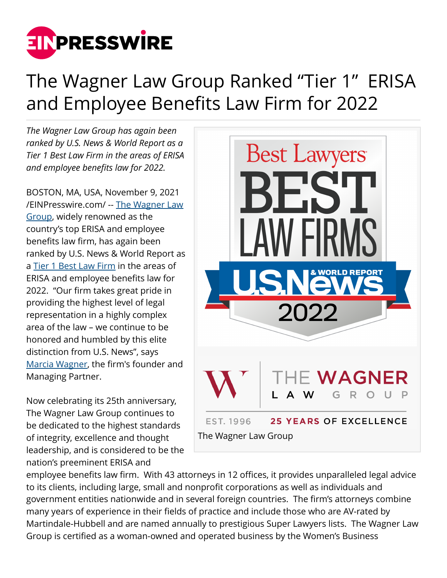

## The Wagner Law Group Ranked "Tier 1" ERISA and Employee Benefits Law Firm for 2022

*The Wagner Law Group has again been ranked by U.S. News & World Report as a Tier 1 Best Law Firm in the areas of ERISA and employee benefits law for 2022.*

BOSTON, MA, USA, November 9, 2021 [/EINPresswire.com/](http://www.einpresswire.com) -- [The Wagner Law](https://www.wagnerlawgroup.com/) [Group](https://www.wagnerlawgroup.com/), widely renowned as the country's top ERISA and employee benefits law firm, has again been ranked by U.S. News & World Report as a [Tier 1 Best Law Firm](https://bestlawfirms.usnews.com/profile/the-wagner-law-group/overview/32261) in the areas of ERISA and employee benefits law for 2022. "Our firm takes great pride in providing the highest level of legal representation in a highly complex area of the law – we continue to be honored and humbled by this elite distinction from U.S. News", says [Marcia Wagner,](https://www.wagnerlawgroup.com/professionals/marcia-wagner) the firm's founder and Managing Partner.

Now celebrating its 25th anniversary, The Wagner Law Group continues to be dedicated to the highest standards of integrity, excellence and thought leadership, and is considered to be the nation's preeminent ERISA and



employee benefits law firm. With 43 attorneys in 12 offices, it provides unparalleled legal advice to its clients, including large, small and nonprofit corporations as well as individuals and government entities nationwide and in several foreign countries. The firm's attorneys combine many years of experience in their fields of practice and include those who are AV-rated by Martindale-Hubbell and are named annually to prestigious Super Lawyers lists. The Wagner Law Group is certified as a woman-owned and operated business by the Women's Business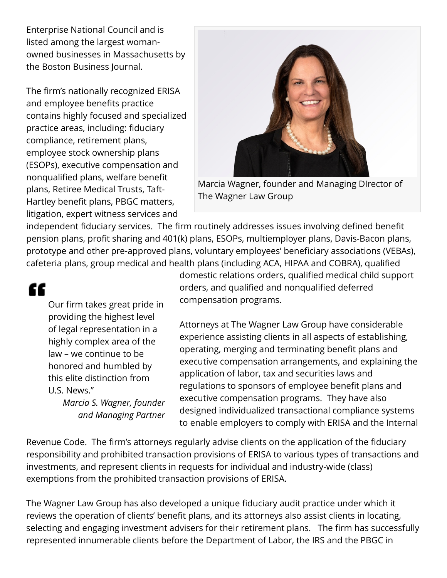Enterprise National Council and is listed among the largest womanowned businesses in Massachusetts by the Boston Business Journal.

The firm's nationally recognized ERISA and employee benefits practice contains highly focused and specialized practice areas, including: fiduciary compliance, retirement plans, employee stock ownership plans (ESOPs), executive compensation and nonqualified plans, welfare benefit plans, Retiree Medical Trusts, Taft-Hartley benefit plans, PBGC matters, litigation, expert witness services and



Marcia Wagner, founder and Managing DIrector of The Wagner Law Group

independent fiduciary services. The firm routinely addresses issues involving defined benefit pension plans, profit sharing and 401(k) plans, ESOPs, multiemployer plans, Davis-Bacon plans, prototype and other pre-approved plans, voluntary employees' beneficiary associations (VEBAs), cafeteria plans, group medical and health plans (including ACA, HIPAA and COBRA), qualified

## ſſ

Our firm takes great pride in providing the highest level of legal representation in a highly complex area of the law – we continue to be honored and humbled by this elite distinction from U.S. News."

*Marcia S. Wagner, founder and Managing Partner* domestic relations orders, qualified medical child support orders, and qualified and nonqualified deferred compensation programs.

Attorneys at The Wagner Law Group have considerable experience assisting clients in all aspects of establishing, operating, merging and terminating benefit plans and executive compensation arrangements, and explaining the application of labor, tax and securities laws and regulations to sponsors of employee benefit plans and executive compensation programs. They have also designed individualized transactional compliance systems to enable employers to comply with ERISA and the Internal

Revenue Code. The firm's attorneys regularly advise clients on the application of the fiduciary responsibility and prohibited transaction provisions of ERISA to various types of transactions and investments, and represent clients in requests for individual and industry-wide (class) exemptions from the prohibited transaction provisions of ERISA.

The Wagner Law Group has also developed a unique fiduciary audit practice under which it reviews the operation of clients' benefit plans, and its attorneys also assist clients in locating, selecting and engaging investment advisers for their retirement plans. The firm has successfully represented innumerable clients before the Department of Labor, the IRS and the PBGC in